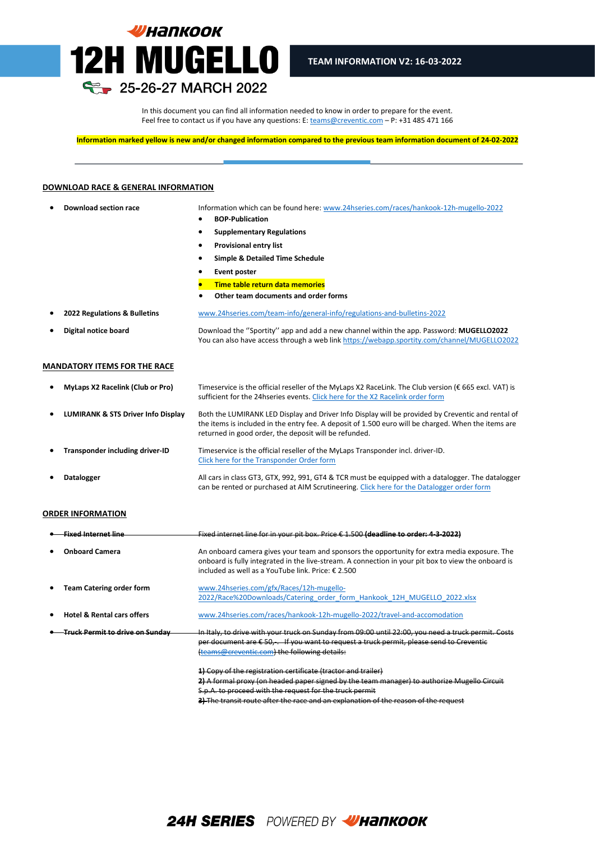

In this document you can find all information needed to know in order to prepare for the event. Feel free to contact us if you have any questions: E[: teams@creventic.com](mailto:teams@creventic.com) – P: +31 485 471 166

l

**Information marked yellow is new and/or changed information compared to the previous team information document of 24-02-2022**

#### **DOWNLOAD RACE & GENERAL INFORMATION**

- **Download section race** Information which can be found here[: www.24hseries.com/races/hankook-12h-mugello-2022](http://www.24hseries.com/races/hankook-12h-mugello-2022)
	- **BOP-Publication**
	- **Supplementary Regulations**
	- **Provisional entry list**
	- **Simple & Detailed Time Schedule**
	- **Event poster**
	- **Time table return data memories**
	- **Other team documents and order forms**
- **2022 Regulations & Bulletins** [www.24hseries.com/team-info/general-info/regulations-and-bulletins-2022](http://www.24hseries.com/team-info/general-info/regulations-and-bulletins-2022) • **Digital notice board** Download the ''Sportity'' app and add a new channel within the app. Password: **MUGELLO2022** You can also have access through a web lin[k https://webapp.sportity.com/channel/MUGELLO2022](https://webapp.sportity.com/channel/MUGELLO2022)

#### **MANDATORY ITEMS FOR THE RACE**

| $\bullet$ | <b>MyLaps X2 Racelink (Club or Pro)</b> | Timeservice is the official reseller of the MyLaps X2 RaceLink. The Club version (€ 665 excl. VAT) is<br>sufficient for the 24 hseries events. Click here for the X2 Racelink order form                                                                          |
|-----------|-----------------------------------------|-------------------------------------------------------------------------------------------------------------------------------------------------------------------------------------------------------------------------------------------------------------------|
| $\bullet$ | LUMIRANK & STS Driver Info Display      | Both the LUMIRANK LED Display and Driver Info Display will be provided by Creventic and rental of<br>the items is included in the entry fee. A deposit of 1.500 euro will be charged. When the items are<br>returned in good order, the deposit will be refunded. |
| $\bullet$ | Transponder including driver-ID         | Timeservice is the official reseller of the MyLaps Transponder incl. driver-ID.<br>Click here for the Transponder Order form                                                                                                                                      |
| ٠         | <b>Datalogger</b>                       | All cars in class GT3, GTX, 992, 991, GT4 & TCR must be equipped with a datalogger. The datalogger<br>can be rented or purchased at AIM Scrutineering. Click here for the Datalogger order form                                                                   |

#### **ORDER INFORMATION**

| <u>Fixed Internet line</u>             | Fixed internet line for in your pit box. Price € 1.500 (deadline to order: 4 3 2022)                                                                                                                                                                      |
|----------------------------------------|-----------------------------------------------------------------------------------------------------------------------------------------------------------------------------------------------------------------------------------------------------------|
| <b>Onboard Camera</b>                  | An onboard camera gives your team and sponsors the opportunity for extra media exposure. The<br>onboard is fully integrated in the live-stream. A connection in your pit box to view the onboard is<br>included as well as a YouTube link. Price: € 2.500 |
| <b>Team Catering order form</b>        | www.24hseries.com/gfx/Races/12h-mugello-<br>2022/Race%20Downloads/Catering order form Hankook 12H MUGELLO 2022.xlsx                                                                                                                                       |
| <b>Hotel &amp; Rental cars offers</b>  | www.24hseries.com/races/hankook-12h-mugello-2022/travel-and-accomodation                                                                                                                                                                                  |
| <u>Truck Permit to drive on Sundav</u> | In Italy, to drive with your truck on Sunday from 09:00 until 22:00, you need a truck permit. Costs<br>per document are £50, . If you want to request a truck permit, please send to Creventic<br>(teams@creventic.com) the following details:            |
|                                        | 1) Copy of the registration certificate (tractor and trailer)<br>2) A formal proxy (on headed paper signed by the team manager) to authorize Mugello Circuit<br>S.p.A. to proceed with the request for the truck permit                                   |

**3)** The transit route after the race and an explanation of the reason of the request

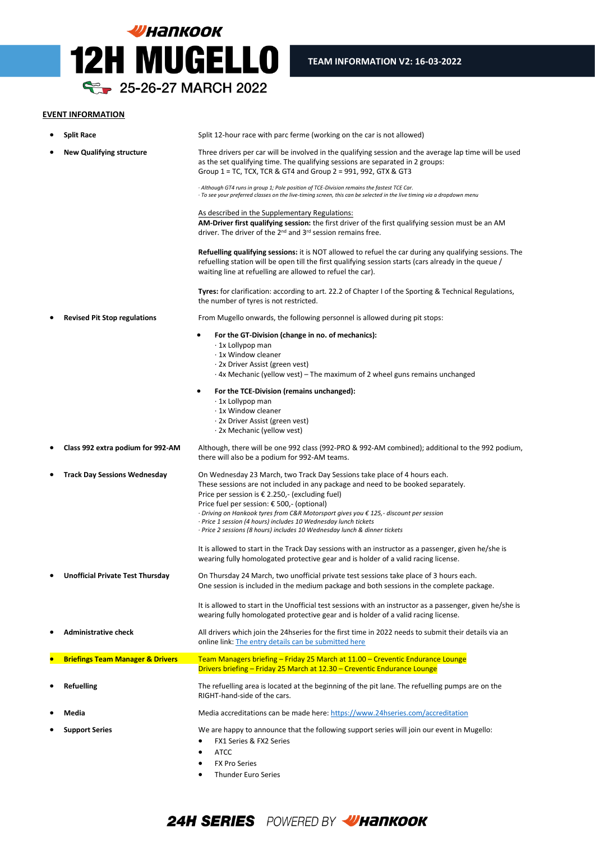

# **EVENT INFORMATION**

| ٠ | <b>Split Race</b>                           | Split 12-hour race with parc ferme (working on the car is not allowed)                                                                                                                                                                                                                                                                                                                                                                                                                                                          |
|---|---------------------------------------------|---------------------------------------------------------------------------------------------------------------------------------------------------------------------------------------------------------------------------------------------------------------------------------------------------------------------------------------------------------------------------------------------------------------------------------------------------------------------------------------------------------------------------------|
|   | <b>New Qualifying structure</b>             | Three drivers per car will be involved in the qualifying session and the average lap time will be used<br>as the set qualifying time. The qualifying sessions are separated in 2 groups:<br>Group $1 = TC$ , TCX, TCR & GT4 and Group $2 = 991$ , 992, GTX & GT3                                                                                                                                                                                                                                                                |
|   |                                             | · Although GT4 runs in group 1; Pole position of TCE-Division remains the fastest TCE Car.<br>· To see your preferred classes on the live-timing screen, this can be selected in the live timing via a dropdown menu                                                                                                                                                                                                                                                                                                            |
|   |                                             | As described in the Supplementary Regulations:<br>AM-Driver first qualifying session: the first driver of the first qualifying session must be an AM<br>driver. The driver of the 2 <sup>nd</sup> and 3 <sup>rd</sup> session remains free.                                                                                                                                                                                                                                                                                     |
|   |                                             | <b>Refuelling qualifying sessions:</b> it is NOT allowed to refuel the car during any qualifying sessions. The<br>refuelling station will be open till the first qualifying session starts (cars already in the queue /<br>waiting line at refuelling are allowed to refuel the car).                                                                                                                                                                                                                                           |
|   |                                             | Tyres: for clarification: according to art. 22.2 of Chapter I of the Sporting & Technical Regulations,<br>the number of tyres is not restricted.                                                                                                                                                                                                                                                                                                                                                                                |
|   | <b>Revised Pit Stop regulations</b>         | From Mugello onwards, the following personnel is allowed during pit stops:                                                                                                                                                                                                                                                                                                                                                                                                                                                      |
|   |                                             | For the GT-Division (change in no. of mechanics):<br>· 1x Lollypop man<br>· 1x Window cleaner<br>· 2x Driver Assist (green vest)<br>$\cdot$ 4x Mechanic (yellow vest) – The maximum of 2 wheel guns remains unchanged                                                                                                                                                                                                                                                                                                           |
|   |                                             | For the TCE-Division (remains unchanged):<br>٠<br>· 1x Lollypop man<br>⋅ 1x Window cleaner<br>· 2x Driver Assist (green vest)<br>· 2x Mechanic (yellow vest)                                                                                                                                                                                                                                                                                                                                                                    |
|   | Class 992 extra podium for 992-AM           | Although, there will be one 992 class (992-PRO & 992-AM combined); additional to the 992 podium,<br>there will also be a podium for 992-AM teams.                                                                                                                                                                                                                                                                                                                                                                               |
|   | <b>Track Day Sessions Wednesday</b>         | On Wednesday 23 March, two Track Day Sessions take place of 4 hours each.<br>These sessions are not included in any package and need to be booked separately.<br>Price per session is $\epsilon$ 2.250,- (excluding fuel)<br>Price fuel per session: € 500,- (optional)<br>$\cdot$ Driving on Hankook tyres from C&R Motorsport gives you $\epsilon$ 125,- discount per session<br>· Price 1 session (4 hours) includes 10 Wednesday lunch tickets<br>· Price 2 sessions (8 hours) includes 10 Wednesday lunch & dinner tickets |
|   |                                             | It is allowed to start in the Track Day sessions with an instructor as a passenger, given he/she is<br>wearing fully homologated protective gear and is holder of a valid racing license.                                                                                                                                                                                                                                                                                                                                       |
|   | Unofficial Private Test Thursday            | On Thursday 24 March, two unofficial private test sessions take place of 3 hours each.<br>One session is included in the medium package and both sessions in the complete package.                                                                                                                                                                                                                                                                                                                                              |
|   |                                             | It is allowed to start in the Unofficial test sessions with an instructor as a passenger, given he/she is<br>wearing fully homologated protective gear and is holder of a valid racing license.                                                                                                                                                                                                                                                                                                                                 |
|   | <b>Administrative check</b>                 | All drivers which join the 24hseries for the first time in 2022 needs to submit their details via an<br>online link: The entry details can be submitted here                                                                                                                                                                                                                                                                                                                                                                    |
|   | <b>Briefings Team Manager &amp; Drivers</b> | Team Managers briefing - Friday 25 March at 11.00 - Creventic Endurance Lounge<br>Drivers briefing - Friday 25 March at 12.30 - Creventic Endurance Lounge                                                                                                                                                                                                                                                                                                                                                                      |
|   | Refuelling                                  | The refuelling area is located at the beginning of the pit lane. The refuelling pumps are on the<br>RIGHT-hand-side of the cars.                                                                                                                                                                                                                                                                                                                                                                                                |
|   | Media                                       | Media accreditations can be made here: https://www.24hseries.com/accreditation                                                                                                                                                                                                                                                                                                                                                                                                                                                  |
|   | <b>Support Series</b>                       | We are happy to announce that the following support series will join our event in Mugello:<br>FX1 Series & FX2 Series<br><b>ATCC</b><br><b>FX Pro Series</b>                                                                                                                                                                                                                                                                                                                                                                    |

• Thunder Euro Series

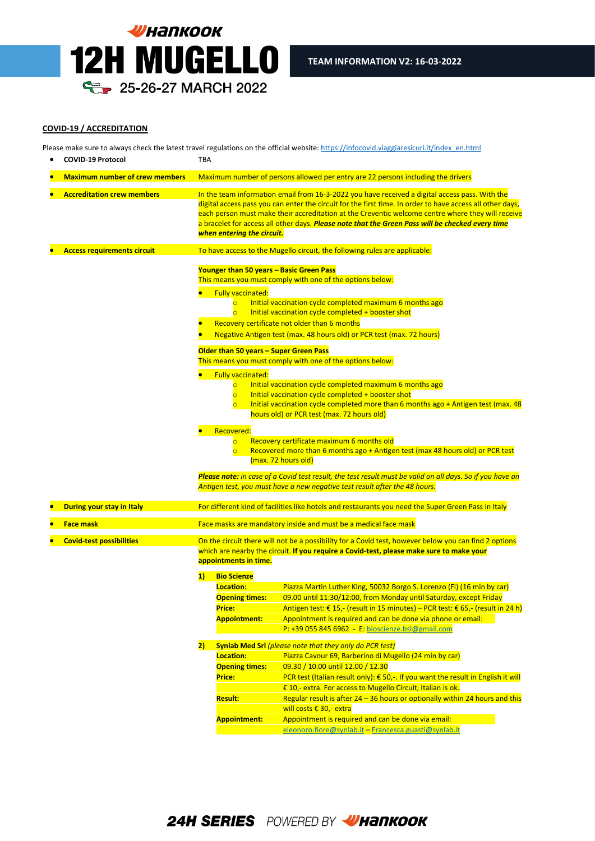

#### **COVID-19 / ACCREDITATION**

Please make sure to always check the latest travel regulations on the official website[: https://infocovid.viaggiaresicuri.it/index\\_en.html](https://infocovid.viaggiaresicuri.it/index_en.html)

|                                                          | <b>COVID-19 Protocol</b>              | TBA                                                                                                                                                                                               |                                                                                                                                                                                                                                                                                                              |                                                                                                                                                                                                                                                                                                                                                                                                                                                                                                                                                                                                                                                                                                                                                                                                                                                                                                                                                                          |
|----------------------------------------------------------|---------------------------------------|---------------------------------------------------------------------------------------------------------------------------------------------------------------------------------------------------|--------------------------------------------------------------------------------------------------------------------------------------------------------------------------------------------------------------------------------------------------------------------------------------------------------------|--------------------------------------------------------------------------------------------------------------------------------------------------------------------------------------------------------------------------------------------------------------------------------------------------------------------------------------------------------------------------------------------------------------------------------------------------------------------------------------------------------------------------------------------------------------------------------------------------------------------------------------------------------------------------------------------------------------------------------------------------------------------------------------------------------------------------------------------------------------------------------------------------------------------------------------------------------------------------|
|                                                          | <b>Maximum number of crew members</b> |                                                                                                                                                                                                   |                                                                                                                                                                                                                                                                                                              | Maximum number of persons allowed per entry are 22 persons including the drivers                                                                                                                                                                                                                                                                                                                                                                                                                                                                                                                                                                                                                                                                                                                                                                                                                                                                                         |
|                                                          | <b>Accreditation crew members</b>     |                                                                                                                                                                                                   | when entering the circuit.                                                                                                                                                                                                                                                                                   | In the team information email from 16-3-2022 you have received a digital access pass. With the<br>digital access pass you can enter the circuit for the first time. In order to have access all other days,<br>each person must make their accreditation at the Creventic welcome centre where they will receive<br>a bracelet for access all other days. Please note that the Green Pass will be checked every time                                                                                                                                                                                                                                                                                                                                                                                                                                                                                                                                                     |
|                                                          | <b>Access requirements circuit</b>    |                                                                                                                                                                                                   |                                                                                                                                                                                                                                                                                                              | To have access to the Mugello circuit, the following rules are applicable:                                                                                                                                                                                                                                                                                                                                                                                                                                                                                                                                                                                                                                                                                                                                                                                                                                                                                               |
|                                                          |                                       |                                                                                                                                                                                                   | Younger than 50 years - Basic Green Pass<br><b>Fully vaccinated:</b><br>$\overline{\circ}$<br>$\overline{\circ}$<br>Older than 50 years - Super Green Pass<br><b>Fully vaccinated:</b><br>$\overline{\mathsf{C}}$<br>$\overline{\circ}$<br>$\overline{\circ}$<br>Recovered:<br>$\overline{\circ}$<br>$\circ$ | This means you must comply with one of the options below:<br>Initial vaccination cycle completed maximum 6 months ago<br>Initial vaccination cycle completed + booster shot<br>Recovery certificate not older than 6 months<br>Negative Antigen test (max. 48 hours old) or PCR test (max. 72 hours)<br>This means you must comply with one of the options below:<br>Initial vaccination cycle completed maximum 6 months ago<br>Initial vaccination cycle completed + booster shot<br>Initial vaccination cycle completed more than 6 months ago + Antigen test (max. 48<br>hours old) or PCR test (max. 72 hours old)<br>Recovery certificate maximum 6 months old<br>Recovered more than 6 months ago + Antigen test (max 48 hours old) or PCR test<br>(max. 72 hours old)<br>Please note: in case of a Covid test result, the test result must be valid on all days. So if you have an<br>Antigen test, you must have a new negative test result after the 48 hours. |
|                                                          | During your stay in Italy             |                                                                                                                                                                                                   |                                                                                                                                                                                                                                                                                                              | For different kind of facilities like hotels and restaurants you need the Super Green Pass in Italy                                                                                                                                                                                                                                                                                                                                                                                                                                                                                                                                                                                                                                                                                                                                                                                                                                                                      |
|                                                          | <b>Face mask</b>                      |                                                                                                                                                                                                   |                                                                                                                                                                                                                                                                                                              | Face masks are mandatory inside and must be a medical face mask                                                                                                                                                                                                                                                                                                                                                                                                                                                                                                                                                                                                                                                                                                                                                                                                                                                                                                          |
| <b>Covid-test possibilities</b><br>appointments in time. |                                       | On the circuit there will not be a possibility for a Covid test, however below you can find 2 options<br>which are nearby the circuit. If you require a Covid-test, please make sure to make your |                                                                                                                                                                                                                                                                                                              |                                                                                                                                                                                                                                                                                                                                                                                                                                                                                                                                                                                                                                                                                                                                                                                                                                                                                                                                                                          |
|                                                          |                                       | 1)                                                                                                                                                                                                | <b>Bio Scienze</b><br>Location:                                                                                                                                                                                                                                                                              | Piazza Martin Luther King, 50032 Borgo S. Lorenzo (Fi) (16 min by car)                                                                                                                                                                                                                                                                                                                                                                                                                                                                                                                                                                                                                                                                                                                                                                                                                                                                                                   |
|                                                          |                                       |                                                                                                                                                                                                   | <b>Opening times:</b><br>Price:<br><b>Appointment:</b>                                                                                                                                                                                                                                                       | 09.00 until 11:30/12:00, from Monday until Saturday, except Friday<br>Antigen test: € 15,- (result in 15 minutes) – PCR test: € 65,- (result in 24 h)<br>Appointment is required and can be done via phone or email:<br>P: +39 055 845 6962 - E: bioscienze.bsl@gmail.com                                                                                                                                                                                                                                                                                                                                                                                                                                                                                                                                                                                                                                                                                                |
|                                                          |                                       | 2)                                                                                                                                                                                                |                                                                                                                                                                                                                                                                                                              | <b>Synlab Med Srl</b> (please note that they only do PCR test)                                                                                                                                                                                                                                                                                                                                                                                                                                                                                                                                                                                                                                                                                                                                                                                                                                                                                                           |
|                                                          |                                       |                                                                                                                                                                                                   | Location:                                                                                                                                                                                                                                                                                                    | Piazza Cavour 69, Barberino di Mugello (24 min by car)                                                                                                                                                                                                                                                                                                                                                                                                                                                                                                                                                                                                                                                                                                                                                                                                                                                                                                                   |
|                                                          |                                       |                                                                                                                                                                                                   | <b>Opening times:</b>                                                                                                                                                                                                                                                                                        | 09.30 / 10.00 until 12.00 / 12.30                                                                                                                                                                                                                                                                                                                                                                                                                                                                                                                                                                                                                                                                                                                                                                                                                                                                                                                                        |
|                                                          |                                       |                                                                                                                                                                                                   | Price:                                                                                                                                                                                                                                                                                                       | PCR test (Italian result only): € 50,-. If you want the result in English it will<br>€ 10,- extra. For access to Mugello Circuit, Italian is ok.                                                                                                                                                                                                                                                                                                                                                                                                                                                                                                                                                                                                                                                                                                                                                                                                                         |
|                                                          |                                       |                                                                                                                                                                                                   | <b>Result:</b>                                                                                                                                                                                                                                                                                               | Regular result is after 24 - 36 hours or optionally within 24 hours and this                                                                                                                                                                                                                                                                                                                                                                                                                                                                                                                                                                                                                                                                                                                                                                                                                                                                                             |
|                                                          |                                       |                                                                                                                                                                                                   |                                                                                                                                                                                                                                                                                                              | will costs € 30,- extra                                                                                                                                                                                                                                                                                                                                                                                                                                                                                                                                                                                                                                                                                                                                                                                                                                                                                                                                                  |
|                                                          |                                       |                                                                                                                                                                                                   | <b>Appointment:</b>                                                                                                                                                                                                                                                                                          | Appointment is required and can be done via email:                                                                                                                                                                                                                                                                                                                                                                                                                                                                                                                                                                                                                                                                                                                                                                                                                                                                                                                       |
|                                                          |                                       |                                                                                                                                                                                                   |                                                                                                                                                                                                                                                                                                              | eleonoro.fiore@synlab.it - Francesca.guasti@synlab.it                                                                                                                                                                                                                                                                                                                                                                                                                                                                                                                                                                                                                                                                                                                                                                                                                                                                                                                    |
|                                                          |                                       |                                                                                                                                                                                                   |                                                                                                                                                                                                                                                                                                              |                                                                                                                                                                                                                                                                                                                                                                                                                                                                                                                                                                                                                                                                                                                                                                                                                                                                                                                                                                          |

**24H SERIES** POWERED BY WHANKOOK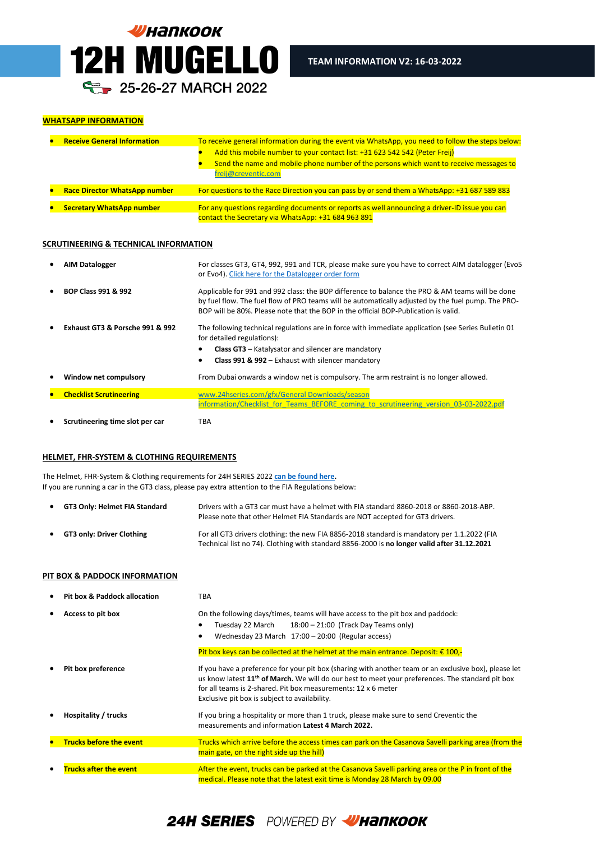

## **WHATSAPP INFORMATION**

| <b>Receive General Information</b>   | To receive general information during the event via WhatsApp, you need to follow the steps below:<br>Add this mobile number to your contact list: +31 623 542 542 (Peter Freij)<br>Send the name and mobile phone number of the persons which want to receive messages to<br>freij@creventic.com |
|--------------------------------------|--------------------------------------------------------------------------------------------------------------------------------------------------------------------------------------------------------------------------------------------------------------------------------------------------|
| <b>Race Director WhatsApp number</b> | For questions to the Race Direction you can pass by or send them a WhatsApp: +31 687 589 883                                                                                                                                                                                                     |
| <b>Secretary WhatsApp number</b>     | For any questions regarding documents or reports as well announcing a driver-ID issue you can<br>contact the Secretary via WhatsApp: +31 684 963 891                                                                                                                                             |

l

# **SCRUTINEERING & TECHNICAL INFORMATION**

|           | <b>AIM Datalogger</b>           | For classes GT3, GT4, 992, 991 and TCR, please make sure you have to correct AIM datalogger (Evo5<br>or Evo4). Click here for the Datalogger order form                                                                                                                                      |
|-----------|---------------------------------|----------------------------------------------------------------------------------------------------------------------------------------------------------------------------------------------------------------------------------------------------------------------------------------------|
| $\bullet$ | <b>BOP Class 991 &amp; 992</b>  | Applicable for 991 and 992 class: the BOP difference to balance the PRO & AM teams will be done<br>by fuel flow. The fuel flow of PRO teams will be automatically adjusted by the fuel pump. The PRO-<br>BOP will be 80%. Please note that the BOP in the official BOP-Publication is valid. |
|           | Exhaust GT3 & Porsche 991 & 992 | The following technical regulations are in force with immediate application (see Series Bulletin 01<br>for detailed regulations):<br><b>Class GT3</b> – Katalysator and silencer are mandatory<br>Class 991 & 992 - Exhaust with silencer mandatory                                          |
|           | Window net compulsory           | From Dubai onwards a window net is compulsory. The arm restraint is no longer allowed.                                                                                                                                                                                                       |
|           | <b>Checklist Scrutineering</b>  | www.24hseries.com/gfx/General Downloads/season                                                                                                                                                                                                                                               |
|           |                                 | information/Checklist for Teams BEFORE coming to scrutineering version 03-03-2022.pdf                                                                                                                                                                                                        |
|           | Scrutineering time slot per car | TBA                                                                                                                                                                                                                                                                                          |

# **HELMET, FHR-SYSTEM & CLOTHING REQUIREMENTS**

The Helmet, FHR-System & Clothing requirements for 24H SERIES 2022 **[can be found here.](https://www.24hseries.com/gfx/General%20Downloads/2022%20Regulations/Helmet_and_Hans_AND_Clothing_check_SERIES_2022_version_20-10-2021.pdf)**  If you are running a car in the GT3 class, please pay extra attention to the FIA Regulations below:

| $\bullet$ | GT3 Only: Helmet FIA Standard    | Drivers with a GT3 car must have a helmet with FIA standard 8860-2018 or 8860-2018-ABP.<br>Please note that other Helmet FIA Standards are NOT accepted for GT3 drivers.                   |
|-----------|----------------------------------|--------------------------------------------------------------------------------------------------------------------------------------------------------------------------------------------|
| $\bullet$ | <b>GT3 only: Driver Clothing</b> | For all GT3 drivers clothing: the new FIA 8856-2018 standard is mandatory per 1.1.2022 (FIA<br>Technical list no 74). Clothing with standard 8856-2000 is no longer valid after 31.12.2021 |

# **PIT BOX & PADDOCK INFORMATION**

| <b>Pit box &amp; Paddock allocation</b> | <b>TBA</b>                                                                                                                                                                                                                                                                                                                              |
|-----------------------------------------|-----------------------------------------------------------------------------------------------------------------------------------------------------------------------------------------------------------------------------------------------------------------------------------------------------------------------------------------|
| Access to pit box                       | On the following days/times, teams will have access to the pit box and paddock:<br>Tuesday 22 March<br>$18:00 - 21:00$ (Track Day Teams only)<br>Wednesday 23 March 17:00 - 20:00 (Regular access)                                                                                                                                      |
|                                         | Pit box keys can be collected at the helmet at the main entrance. Deposit: € 100,-                                                                                                                                                                                                                                                      |
| Pit box preference                      | If you have a preference for your pit box (sharing with another team or an exclusive box), please let<br>us know latest 11 <sup>th</sup> of March. We will do our best to meet your preferences. The standard pit box<br>for all teams is 2-shared. Pit box measurements: 12 x 6 meter<br>Exclusive pit box is subject to availability. |
| Hospitality / trucks                    | If you bring a hospitality or more than 1 truck, please make sure to send Creventic the<br>measurements and information Latest 4 March 2022.                                                                                                                                                                                            |
| <b>Trucks before the event</b>          | Trucks which arrive before the access times can park on the Casanova Savelli parking area (from the<br>main gate, on the right side up the hill)                                                                                                                                                                                        |
| <b>Trucks after the event</b>           | After the event, trucks can be parked at the Casanova Savelli parking area or the P in front of the<br>medical. Please note that the latest exit time is Monday 28 March by 09.00                                                                                                                                                       |

# 24H SERIES POWERED BY WHANKOOK